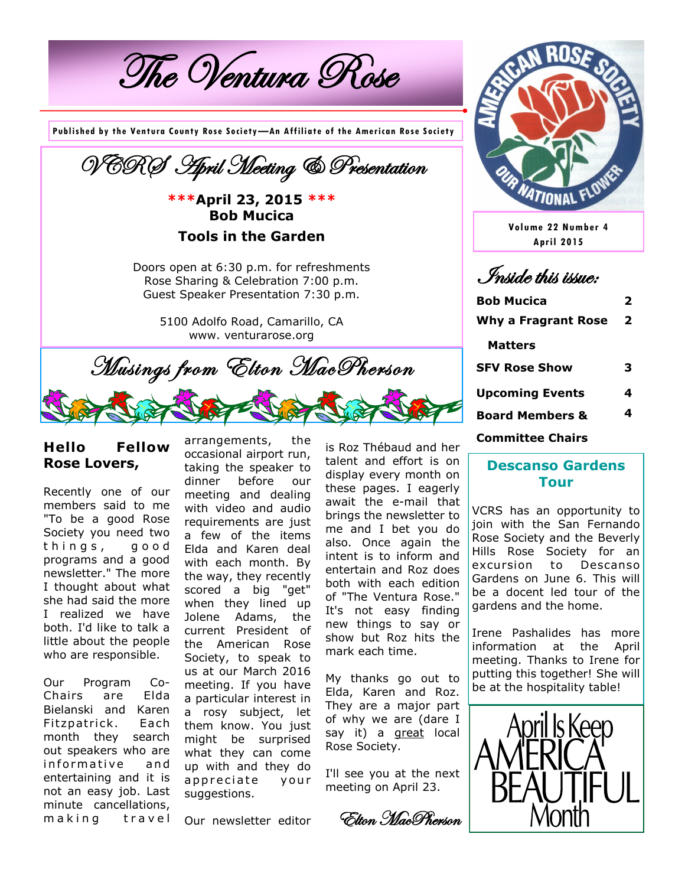The Ventura Rose

**Published by the Ventura County Rose Society—An Affiliate of the American Rose Society**



5100 Adolfo Road, Camarillo, CA www. venturarose.org

Musings from Elton MacPherson

#### **Hello Fellow Rose Lovers,**

Recently one of our members said to me "To be a good Rose Society you need two things, good programs and a good newsletter." The more I thought about what she had said the more I realized we have both. I'd like to talk a little about the people who are responsible.

Our Program Co-Chairs are Elda Bielanski and Karen Fitzpatrick. Each month they search out speakers who are informative and entertaining and it is not an easy job. Last minute cancellations, m a king travel

arrangements, the occasional airport run, taking the speaker to dinner before our meeting and dealing with video and audio requirements are just a few of the items Elda and Karen deal with each month. By the way, they recently scored a big "get" when they lined up Jolene Adams, the current President of the American Rose Society, to speak to us at our March 2016 meeting. If you have a particular interest in a rosy subject, let them know. You just might be surprised what they can come up with and they do appreciate your suggestions.

Our newsletter editor

is Roz Thébaud and her talent and effort is on display every month on these pages. I eagerly await the e-mail that brings the newsletter to me and I bet you do also. Once again the intent is to inform and entertain and Roz does both with each edition of "The Ventura Rose." It's not easy finding new things to say or show but Roz hits the mark each time.

My thanks go out to Elda, Karen and Roz. They are a major part of why we are (dare I say it) a great local Rose Society.

I'll see you at the next meeting on April 23.

Elton MacPherson



**Volume 22 Number 4 April 2015**

Inside this issue:

| <b>Bob Mucica</b>          | 2 |
|----------------------------|---|
| <b>Why a Fragrant Rose</b> | 2 |
| <b>Matters</b>             |   |
| <b>SFV Rose Show</b>       | З |
| <b>Upcoming Events</b>     | 4 |
| <b>Board Members &amp;</b> | 4 |
| <b>Committee Chairs</b>    |   |

#### **Descanso Gardens Tour**

VCRS has an opportunity to join with the San Fernando Rose Society and the Beverly Hills Rose Society for an excursion to Descanso Gardens on June 6. This will be a docent led tour of the gardens and the home.

Irene Pashalides has more information at the April meeting. Thanks to Irene for putting this together! She will be at the hospitality table!

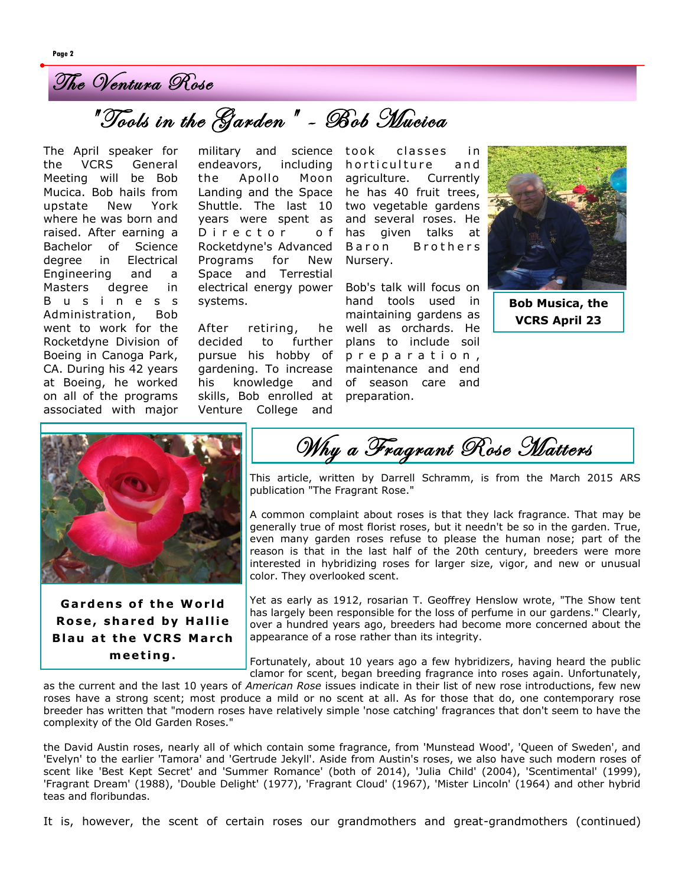

# "Tools in the Garden" - Bob Mucica

The April speaker for the VCRS General Meeting will be Bob Mucica. Bob hails from upstate New York where he was born and raised. After earning a Bachelor of Science degree in Electrical Engineering and a Masters degree in B u s i n e s s Administration, Bob went to work for the Rocketdyne Division of Boeing in Canoga Park, CA. During his 42 years at Boeing, he worked on all of the programs associated with major

endeavors, including the Apollo Moon Landing and the Space Shuttle. The last 10 years were spent as Director of Rocketdyne's Advanced Programs for New Space and Terrestial electrical energy power systems.

After retiring, he decided to further pursue his hobby of gardening. To increase his knowledge skills, Bob enrolled at Venture College and

military and science took classes in horticulture and agriculture. Currently he has 40 fruit trees, two vegetable gardens and several roses. He has given talks at Baron Brothers Nursery.

> Bob's talk will focus on hand tools used in maintaining gardens as well as orchards. He plans to include soil p r e p a r a t i o n , maintenance and end and of season care and preparation.



**Bob Musica, the VCRS April 23** 



**Gardens of the World Rose, shared by Hallie Blau at the VCRS March m e e t i n g .**

Why a Fragrant Rose Matters

This article, written by Darrell Schramm, is from the March 2015 ARS publication "The Fragrant Rose."

A common complaint about roses is that they lack fragrance. That may be generally true of most florist roses, but it needn't be so in the garden. True, even many garden roses refuse to please the human nose; part of the reason is that in the last half of the 20th century, breeders were more interested in hybridizing roses for larger size, vigor, and new or unusual color. They overlooked scent.

Yet as early as 1912, rosarian T. Geoffrey Henslow wrote, "The Show tent has largely been responsible for the loss of perfume in our gardens." Clearly, over a hundred years ago, breeders had become more concerned about the appearance of a rose rather than its integrity.

Fortunately, about 10 years ago a few hybridizers, having heard the public clamor for scent, began breeding fragrance into roses again. Unfortunately,

as the current and the last 10 years of *American Rose* issues indicate in their list of new rose introductions, few new roses have a strong scent; most produce a mild or no scent at all. As for those that do, one contemporary rose breeder has written that "modern roses have relatively simple 'nose catching' fragrances that don't seem to have the complexity of the Old Garden Roses."

the David Austin roses, nearly all of which contain some fragrance, from 'Munstead Wood', 'Queen of Sweden', and 'Evelyn' to the earlier 'Tamora' and 'Gertrude Jekyll'. Aside from Austin's roses, we also have such modern roses of scent like 'Best Kept Secret' and 'Summer Romance' (both of 2014), 'Julia Child' (2004), 'Scentimental' (1999), 'Fragrant Dream' (1988), 'Double Delight' (1977), 'Fragrant Cloud' (1967), 'Mister Lincoln' (1964) and other hybrid teas and floribundas.

It is, however, the scent of certain roses our grandmothers and great-grandmothers (continued)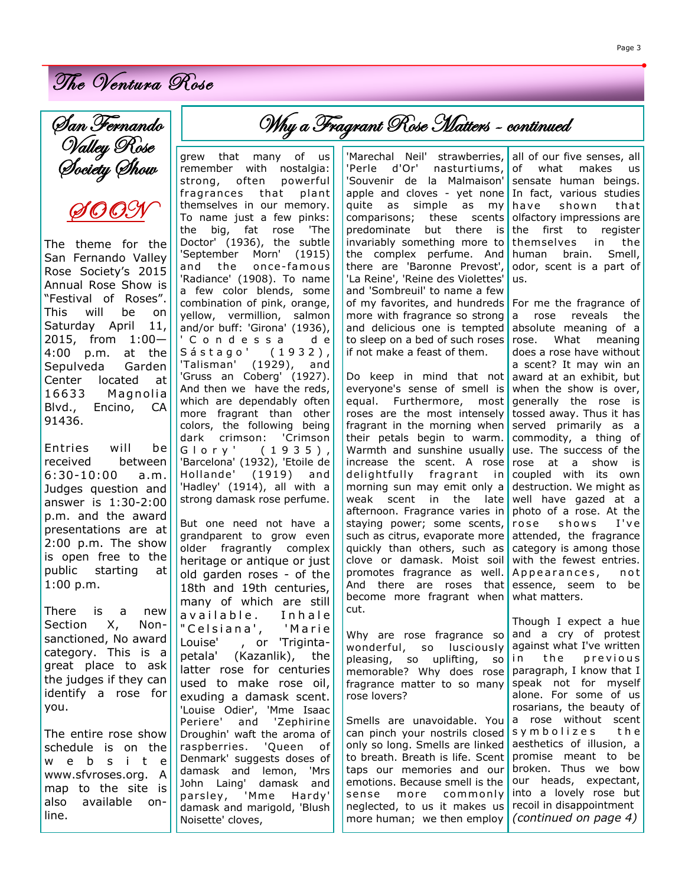## The Ventura Rose





The theme for the San Fernando Valley Rose Society's 2015 Annual Rose Show is "Festival of Roses". This will be on Saturday April 11, 2015, from 1:00— 4:00 p.m. at the Sepulveda Garden Center located at 16633 Magnolia Blvd., Encino, CA 91436.

Entries will be received between 6:30-10:00 a.m. Judges question and answer is 1:30-2:00 p.m. and the award presentations are at 2:00 p.m. The show is open free to the public starting at 1:00 p.m.

There is a new Section X, Nonsanctioned, No award category. This is a great place to ask the judges if they can identify a rose for you.

The entire rose show schedule is on the w e b s i t e www.sfvroses.org. A map to the site is also available online.

grew that many of us remember with nostalgia: strong, often powerful fragrances that plant themselves in our memory. To name just a few pinks: the big, fat rose 'The Doctor' (1936), the subtle 'September Morn' (1915) and the on ce- famous 'Radiance' (1908). To name a few color blends, some combination of pink, orange, yellow, vermillion, salmon and/or buff: 'Girona' (1936), ' C o n d e s s a d e Sástago' (1932), 'Talisman' (1929), and 'Gruss an Coberg' (1927). And then we have the reds, which are dependably often more fragrant than other colors, the following being dark crimson: 'Crimson G l o r y ' ( 1 9 3 5 ), 'Barcelona' (1932), 'Etoile de Hollande' (1919) and 'Hadley' (1914), all with a strong damask rose perfume.

But one need not have a grandparent to grow even older fragrantly complex heritage or antique or just old garden roses - of the 18th and 19th centuries, many of which are still a vai lable. Inha le " Celsiana', 'Marie Louise' , or 'Trigintapetala' (Kazanlik), the latter rose for centuries used to make rose oil, exuding a damask scent. 'Louise Odier', 'Mme Isaac Periere' and 'Zephirine Droughin' waft the aroma of raspberries. 'Queen of Denmark' suggests doses of damask and lemon, 'Mrs John Laing' damask and parsley, 'Mme Hardy' damask and marigold, 'Blush Noisette' cloves,

## Why a Fragrant Rose Matters - continued

'Marechal Neil' strawberries, 'Perle d'Or' nasturtiums, 'Souvenir de la Malmaison' apple and cloves - yet none quite as simple as my comparisons; these scents predominate but there is invariably something more to the complex perfume. And there are 'Baronne Prevost', 'La Reine', 'Reine des Violettes' and 'Sombreuil' to name a few of my favorites, and hundreds more with fragrance so strong and delicious one is tempted to sleep on a bed of such roses if not make a feast of them.

Do keep in mind that not everyone's sense of smell is equal. Furthermore, most roses are the most intensely fragrant in the morning when their petals begin to warm. Warmth and sunshine usually increase the scent. A rose delightfully fragrant in morning sun may emit only a weak scent in the late afternoon. Fragrance varies in staying power; some scents, such as citrus, evaporate more quickly than others, such as clove or damask. Moist soil promotes fragrance as well. And there are roses that become more fragrant when cut.

Why are rose fragrance so wonderful, so lusciously pleasing, so uplifting, so memorable? Why does rose fragrance matter to so many rose lovers?

Smells are unavoidable. You can pinch your nostrils closed only so long. Smells are linked to breath. Breath is life. Scent taps our memories and our emotions. Because smell is the sense more commonly neglected, to us it makes us more human; we then employ

all of our five senses, all of what makes us sensate human beings. In fact, various studies have shown that olfactory impressions are the first to register themselves in the human brain. Smell, odor, scent is a part of us.

For me the fragrance of a rose reveals the absolute meaning of a rose. What meaning does a rose have without a scent? It may win an award at an exhibit, but when the show is over, generally the rose is tossed away. Thus it has served primarily as a commodity, a thing of use. The success of the rose at a show is coupled with its own destruction. We might as well have gazed at a photo of a rose. At the rose shows I've attended, the fragrance category is among those with the fewest entries. Appearances, not essence, seem to be what matters.

Though I expect a hue and a cry of protest against what I've written in the previous paragraph, I know that I speak not for myself alone. For some of us rosarians, the beauty of a rose without scent s y m b o lizes the aesthetics of illusion, a promise meant to be broken. Thus we bow our heads, expectant, into a lovely rose but recoil in disappointment *(continued on page 4)*